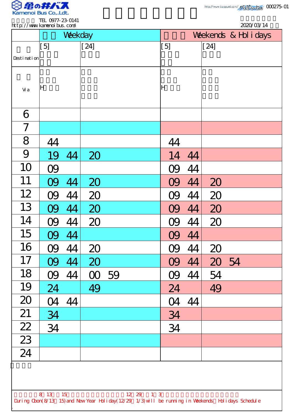

.

| http://www.kanenoi.bus.com/ |           |         |          |    | 2020/03/14                                                                                                      |     |    |        |                       |
|-----------------------------|-----------|---------|----------|----|-----------------------------------------------------------------------------------------------------------------|-----|----|--------|-----------------------|
|                             |           | Weekday |          |    |                                                                                                                 |     |    |        | Weekends & Hol i days |
|                             | [5]       |         | $[24]$   |    |                                                                                                                 | [5] |    | $[24]$ |                       |
| Desti nati on               |           |         |          |    |                                                                                                                 |     |    |        |                       |
| Vi a                        | ΙH        |         |          |    |                                                                                                                 | lΗ  |    |        |                       |
| 6                           |           |         |          |    |                                                                                                                 |     |    |        |                       |
| 7                           |           |         |          |    |                                                                                                                 |     |    |        |                       |
| 8                           | 44        |         |          |    |                                                                                                                 | 44  |    |        |                       |
| 9                           | 19        | 44      | 20       |    |                                                                                                                 | 14  | 44 |        |                       |
| 10                          | <b>09</b> |         |          |    |                                                                                                                 |     | 44 |        |                       |
| 11                          |           | 44      | 20       |    |                                                                                                                 |     | 44 | 20     |                       |
| 12                          |           | 44      | 20       |    |                                                                                                                 |     | 44 | 20     |                       |
| 13                          | OQ        | 44      | 20       |    |                                                                                                                 | O9  | 44 | 20     |                       |
| 14                          | 09        | 44      | 20       |    |                                                                                                                 | OQ  | 44 | 20     |                       |
| 15                          | 09        | 44      |          |    |                                                                                                                 | 09  | 44 |        |                       |
| 16                          | 09        | 44      | 20       |    |                                                                                                                 | 09  | 44 | 20     |                       |
| 17                          | 09        | 44      | 20       |    |                                                                                                                 | 09  | 44 | 20 54  |                       |
| 18                          | 09        | 44      | $\infty$ | 59 |                                                                                                                 | O9  | 44 | 54     |                       |
| 19                          | 24        |         | 49       |    |                                                                                                                 | 24  |    | 49     |                       |
| 20                          | 04        | 44      |          |    |                                                                                                                 | 04  | 44 |        |                       |
| 21                          | 34        |         |          |    |                                                                                                                 | 34  |    |        |                       |
| $\overline{22}$             | 34        |         |          |    |                                                                                                                 | 34  |    |        |                       |
| $\boxed{23}$                |           |         |          |    |                                                                                                                 |     |    |        |                       |
| 24                          |           |         |          |    |                                                                                                                 |     |    |        |                       |
|                             |           |         |          |    |                                                                                                                 |     |    |        |                       |
|                             |           |         |          |    |                                                                                                                 |     |    |        |                       |
|                             | 8 13 15   |         |          |    | 12 29 1 3<br>During Cbon(8/13 15) and New Year Holiday(12/29 1/3) will be running in Weekends Holidays Schedule |     |    |        |                       |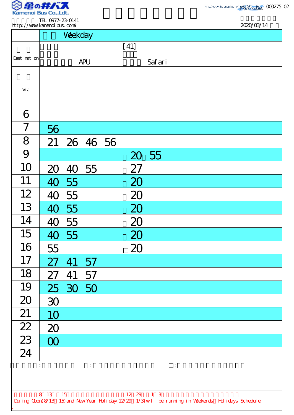

| TEL 0977-23-0141            |            |
|-----------------------------|------------|
| http://www.kamanoi.hus.com/ | 2000/03/14 |

| http://www.kanenoi.bus.com/                                                                        | <b>ILL UTILE 2J UITI</b> |             |                |  |           | 2020/03/14                    |  |  |
|----------------------------------------------------------------------------------------------------|--------------------------|-------------|----------------|--|-----------|-------------------------------|--|--|
|                                                                                                    |                          | Weekday     |                |  |           |                               |  |  |
|                                                                                                    |                          |             |                |  | $[41]$    |                               |  |  |
| Desti nati on                                                                                      |                          |             | <b>APU</b>     |  |           | Safari                        |  |  |
|                                                                                                    |                          |             |                |  |           |                               |  |  |
| Vi a                                                                                               |                          |             |                |  |           |                               |  |  |
|                                                                                                    |                          |             |                |  |           |                               |  |  |
| 6                                                                                                  |                          |             |                |  |           |                               |  |  |
| $\overline{7}$                                                                                     | 56                       |             |                |  |           |                               |  |  |
| 8                                                                                                  |                          | 21 26 46 56 |                |  |           |                               |  |  |
| 9                                                                                                  |                          |             |                |  |           | 20 55                         |  |  |
| 10                                                                                                 | 20                       |             | 40 55          |  | 27        |                               |  |  |
| 11                                                                                                 | 40                       | 55          |                |  | 20        |                               |  |  |
| 12                                                                                                 | 40                       | 55          |                |  | 20        |                               |  |  |
| 13                                                                                                 |                          | 40 55       |                |  | 20        |                               |  |  |
| 14                                                                                                 |                          | 40 55       |                |  | 20        |                               |  |  |
| 15                                                                                                 |                          | 40 55       |                |  | 20        |                               |  |  |
| 16                                                                                                 | 55                       |             |                |  | 20        |                               |  |  |
| 17                                                                                                 | 27                       | 41          | 57             |  |           |                               |  |  |
| 18                                                                                                 | 27                       | 41          | 57             |  |           |                               |  |  |
| 19                                                                                                 |                          | 25 30 50    |                |  |           |                               |  |  |
| 20                                                                                                 | 30                       |             |                |  |           |                               |  |  |
| 21                                                                                                 | 10                       |             |                |  |           |                               |  |  |
| $\frac{22}{23}$                                                                                    | 20                       |             |                |  |           |                               |  |  |
|                                                                                                    | $\infty$                 |             |                |  |           |                               |  |  |
| $\overline{24}$                                                                                    |                          |             |                |  |           |                               |  |  |
|                                                                                                    |                          |             | $\ddot{\cdot}$ |  |           | $\ddot{\ddot{\phantom{z}}}\,$ |  |  |
|                                                                                                    |                          |             |                |  |           |                               |  |  |
|                                                                                                    | 8 13 15                  |             |                |  | 12 29 1 3 |                               |  |  |
| During Cbon(8/13 15) and New Year Holiday(12/29 1/3) will be running in Weekends Holidays Schedule |                          |             |                |  |           |                               |  |  |